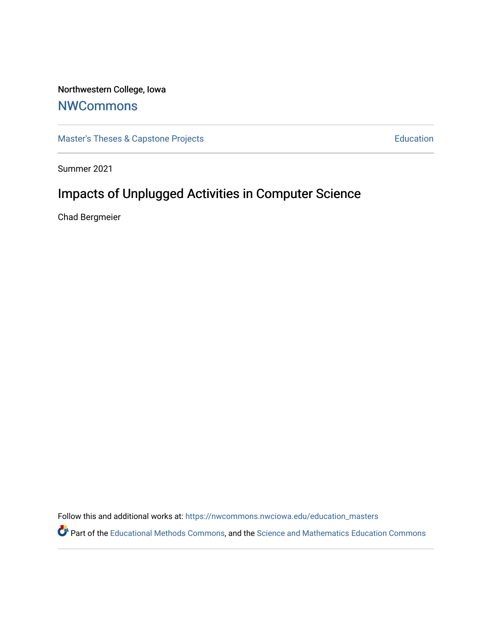# Northwestern College, Iowa

# [NWCommons](https://nwcommons.nwciowa.edu/)

[Master's Theses & Capstone Projects](https://nwcommons.nwciowa.edu/education_masters) **Education** Education

Summer 2021

# Impacts of Unplugged Activities in Computer Science

Chad Bergmeier

Follow this and additional works at: [https://nwcommons.nwciowa.edu/education\\_masters](https://nwcommons.nwciowa.edu/education_masters?utm_source=nwcommons.nwciowa.edu%2Feducation_masters%2F325&utm_medium=PDF&utm_campaign=PDFCoverPages)

Part of the [Educational Methods Commons,](http://network.bepress.com/hgg/discipline/1227?utm_source=nwcommons.nwciowa.edu%2Feducation_masters%2F325&utm_medium=PDF&utm_campaign=PDFCoverPages) and the [Science and Mathematics Education Commons](http://network.bepress.com/hgg/discipline/800?utm_source=nwcommons.nwciowa.edu%2Feducation_masters%2F325&utm_medium=PDF&utm_campaign=PDFCoverPages)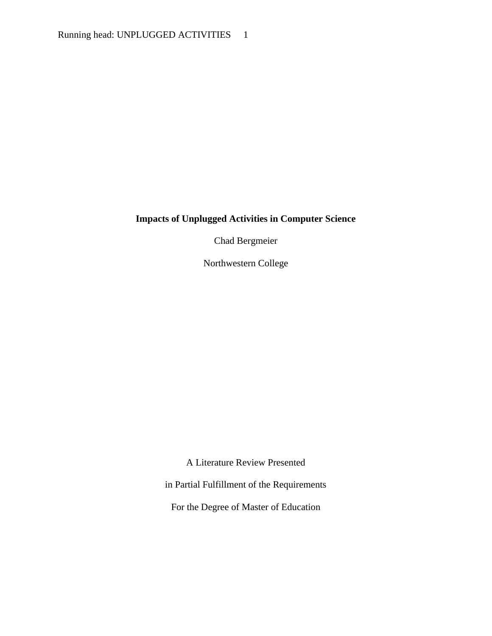# **Impacts of Unplugged Activities in Computer Science**

Chad Bergmeier

Northwestern College

A Literature Review Presented

in Partial Fulfillment of the Requirements

For the Degree of Master of Education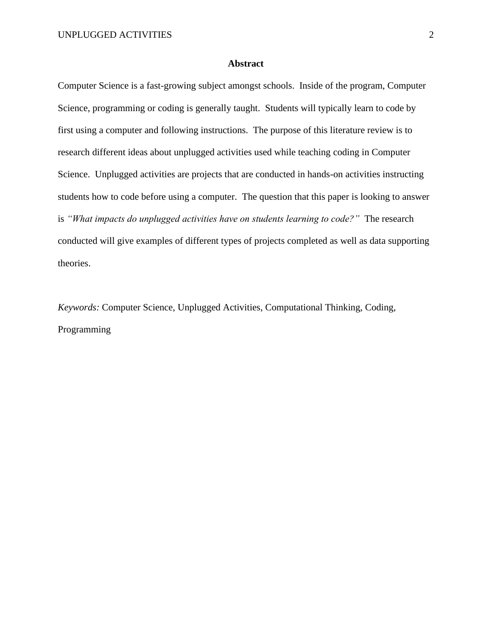### **Abstract**

Computer Science is a fast-growing subject amongst schools. Inside of the program, Computer Science, programming or coding is generally taught. Students will typically learn to code by first using a computer and following instructions. The purpose of this literature review is to research different ideas about unplugged activities used while teaching coding in Computer Science. Unplugged activities are projects that are conducted in hands-on activities instructing students how to code before using a computer. The question that this paper is looking to answer is *"What impacts do unplugged activities have on students learning to code?"* The research conducted will give examples of different types of projects completed as well as data supporting theories.

*Keywords:* Computer Science, Unplugged Activities, Computational Thinking, Coding, Programming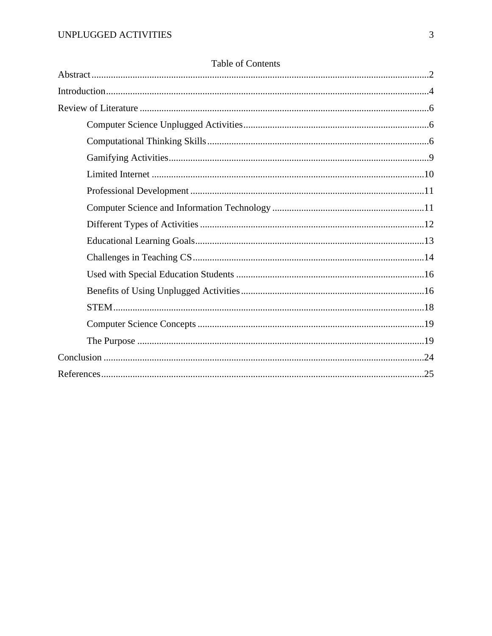| <b>LAURE OF COMMINS</b> |  |
|-------------------------|--|
|                         |  |
|                         |  |
|                         |  |
|                         |  |
|                         |  |
|                         |  |
|                         |  |
|                         |  |
|                         |  |
|                         |  |
|                         |  |
|                         |  |
|                         |  |
|                         |  |
|                         |  |
|                         |  |
|                         |  |
|                         |  |

# Table of Contents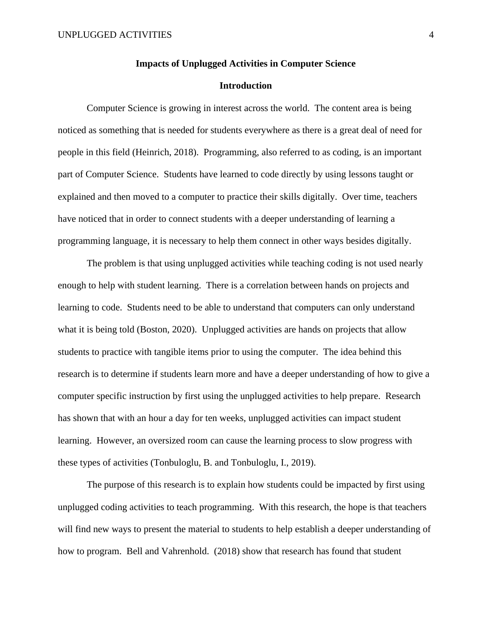#### **Impacts of Unplugged Activities in Computer Science**

### **Introduction**

Computer Science is growing in interest across the world. The content area is being noticed as something that is needed for students everywhere as there is a great deal of need for people in this field (Heinrich, 2018). Programming, also referred to as coding, is an important part of Computer Science. Students have learned to code directly by using lessons taught or explained and then moved to a computer to practice their skills digitally. Over time, teachers have noticed that in order to connect students with a deeper understanding of learning a programming language, it is necessary to help them connect in other ways besides digitally.

The problem is that using unplugged activities while teaching coding is not used nearly enough to help with student learning. There is a correlation between hands on projects and learning to code. Students need to be able to understand that computers can only understand what it is being told (Boston, 2020). Unplugged activities are hands on projects that allow students to practice with tangible items prior to using the computer. The idea behind this research is to determine if students learn more and have a deeper understanding of how to give a computer specific instruction by first using the unplugged activities to help prepare. Research has shown that with an hour a day for ten weeks, unplugged activities can impact student learning. However, an oversized room can cause the learning process to slow progress with these types of activities (Tonbuloglu, B. and Tonbuloglu, I., 2019).

The purpose of this research is to explain how students could be impacted by first using unplugged coding activities to teach programming. With this research, the hope is that teachers will find new ways to present the material to students to help establish a deeper understanding of how to program. Bell and Vahrenhold. (2018) show that research has found that student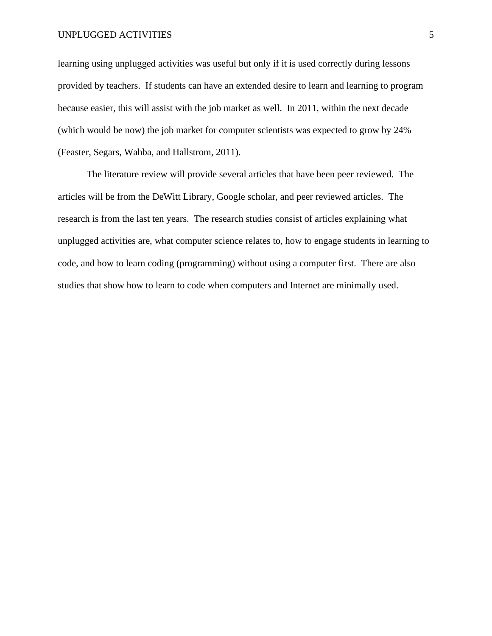#### UNPLUGGED ACTIVITIES 5

learning using unplugged activities was useful but only if it is used correctly during lessons provided by teachers. If students can have an extended desire to learn and learning to program because easier, this will assist with the job market as well. In 2011, within the next decade (which would be now) the job market for computer scientists was expected to grow by 24% (Feaster, Segars, Wahba, and Hallstrom, 2011).

The literature review will provide several articles that have been peer reviewed. The articles will be from the DeWitt Library, Google scholar, and peer reviewed articles. The research is from the last ten years. The research studies consist of articles explaining what unplugged activities are, what computer science relates to, how to engage students in learning to code, and how to learn coding (programming) without using a computer first. There are also studies that show how to learn to code when computers and Internet are minimally used.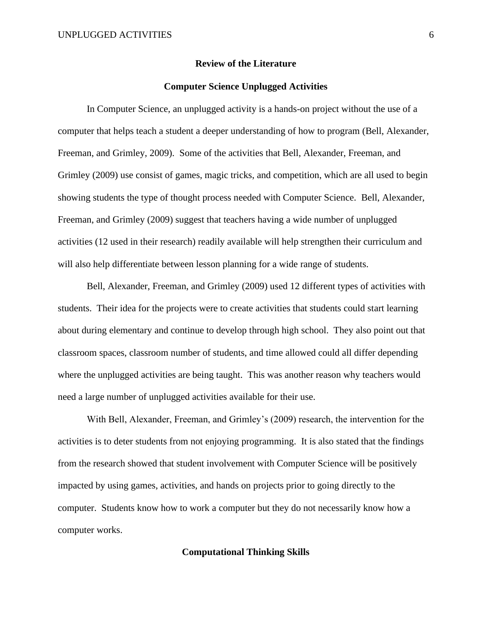#### **Review of the Literature**

#### **Computer Science Unplugged Activities**

In Computer Science, an unplugged activity is a hands-on project without the use of a computer that helps teach a student a deeper understanding of how to program (Bell, Alexander, Freeman, and Grimley, 2009). Some of the activities that Bell, Alexander, Freeman, and Grimley (2009) use consist of games, magic tricks, and competition, which are all used to begin showing students the type of thought process needed with Computer Science. Bell, Alexander, Freeman, and Grimley (2009) suggest that teachers having a wide number of unplugged activities (12 used in their research) readily available will help strengthen their curriculum and will also help differentiate between lesson planning for a wide range of students.

Bell, Alexander, Freeman, and Grimley (2009) used 12 different types of activities with students. Their idea for the projects were to create activities that students could start learning about during elementary and continue to develop through high school. They also point out that classroom spaces, classroom number of students, and time allowed could all differ depending where the unplugged activities are being taught. This was another reason why teachers would need a large number of unplugged activities available for their use.

With Bell, Alexander, Freeman, and Grimley's (2009) research, the intervention for the activities is to deter students from not enjoying programming. It is also stated that the findings from the research showed that student involvement with Computer Science will be positively impacted by using games, activities, and hands on projects prior to going directly to the computer. Students know how to work a computer but they do not necessarily know how a computer works.

# **Computational Thinking Skills**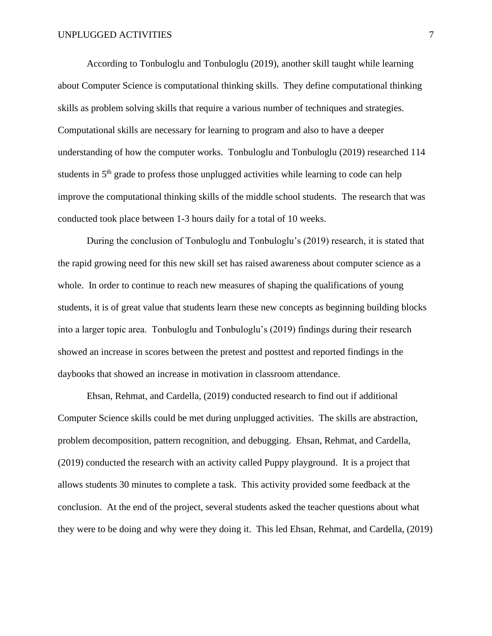According to Tonbuloglu and Tonbuloglu (2019), another skill taught while learning about Computer Science is computational thinking skills. They define computational thinking skills as problem solving skills that require a various number of techniques and strategies. Computational skills are necessary for learning to program and also to have a deeper understanding of how the computer works. Tonbuloglu and Tonbuloglu (2019) researched 114 students in 5<sup>th</sup> grade to profess those unplugged activities while learning to code can help improve the computational thinking skills of the middle school students. The research that was conducted took place between 1-3 hours daily for a total of 10 weeks.

During the conclusion of Tonbuloglu and Tonbuloglu's (2019) research, it is stated that the rapid growing need for this new skill set has raised awareness about computer science as a whole. In order to continue to reach new measures of shaping the qualifications of young students, it is of great value that students learn these new concepts as beginning building blocks into a larger topic area. Tonbuloglu and Tonbuloglu's (2019) findings during their research showed an increase in scores between the pretest and posttest and reported findings in the daybooks that showed an increase in motivation in classroom attendance.

Ehsan, Rehmat, and Cardella, (2019) conducted research to find out if additional Computer Science skills could be met during unplugged activities. The skills are abstraction, problem decomposition, pattern recognition, and debugging. Ehsan, Rehmat, and Cardella, (2019) conducted the research with an activity called Puppy playground. It is a project that allows students 30 minutes to complete a task. This activity provided some feedback at the conclusion. At the end of the project, several students asked the teacher questions about what they were to be doing and why were they doing it. This led Ehsan, Rehmat, and Cardella, (2019)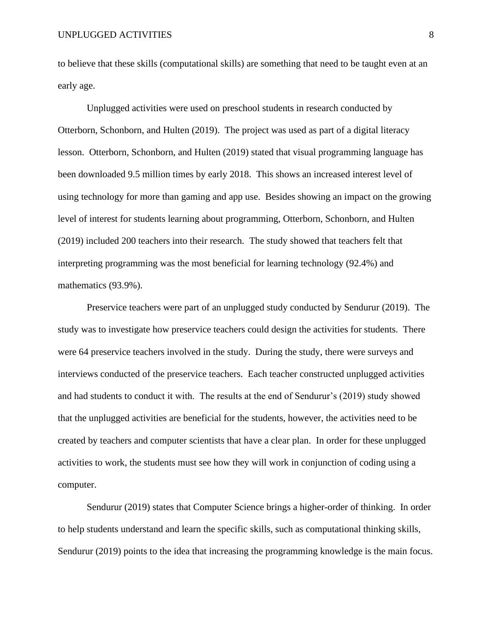to believe that these skills (computational skills) are something that need to be taught even at an early age.

Unplugged activities were used on preschool students in research conducted by Otterborn, Schonborn, and Hulten (2019). The project was used as part of a digital literacy lesson. Otterborn, Schonborn, and Hulten (2019) stated that visual programming language has been downloaded 9.5 million times by early 2018. This shows an increased interest level of using technology for more than gaming and app use. Besides showing an impact on the growing level of interest for students learning about programming, Otterborn, Schonborn, and Hulten (2019) included 200 teachers into their research. The study showed that teachers felt that interpreting programming was the most beneficial for learning technology (92.4%) and mathematics (93.9%).

Preservice teachers were part of an unplugged study conducted by Sendurur (2019). The study was to investigate how preservice teachers could design the activities for students. There were 64 preservice teachers involved in the study. During the study, there were surveys and interviews conducted of the preservice teachers. Each teacher constructed unplugged activities and had students to conduct it with. The results at the end of Sendurur's (2019) study showed that the unplugged activities are beneficial for the students, however, the activities need to be created by teachers and computer scientists that have a clear plan. In order for these unplugged activities to work, the students must see how they will work in conjunction of coding using a computer.

Sendurur (2019) states that Computer Science brings a higher-order of thinking. In order to help students understand and learn the specific skills, such as computational thinking skills, Sendurur (2019) points to the idea that increasing the programming knowledge is the main focus.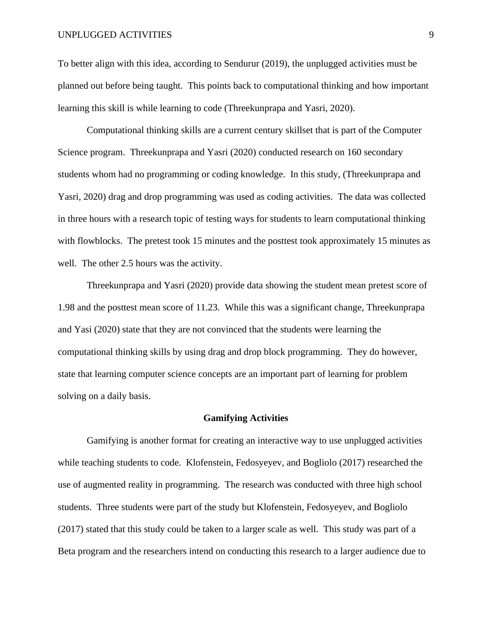#### UNPLUGGED ACTIVITIES 9

To better align with this idea, according to Sendurur (2019), the unplugged activities must be planned out before being taught. This points back to computational thinking and how important learning this skill is while learning to code (Threekunprapa and Yasri, 2020).

Computational thinking skills are a current century skillset that is part of the Computer Science program. Threekunprapa and Yasri (2020) conducted research on 160 secondary students whom had no programming or coding knowledge. In this study, (Threekunprapa and Yasri, 2020) drag and drop programming was used as coding activities. The data was collected in three hours with a research topic of testing ways for students to learn computational thinking with flowblocks. The pretest took 15 minutes and the posttest took approximately 15 minutes as well. The other 2.5 hours was the activity.

Threekunprapa and Yasri (2020) provide data showing the student mean pretest score of 1.98 and the posttest mean score of 11.23. While this was a significant change, Threekunprapa and Yasi (2020) state that they are not convinced that the students were learning the computational thinking skills by using drag and drop block programming. They do however, state that learning computer science concepts are an important part of learning for problem solving on a daily basis.

#### **Gamifying Activities**

Gamifying is another format for creating an interactive way to use unplugged activities while teaching students to code. Klofenstein, Fedosyeyev, and Bogliolo (2017) researched the use of augmented reality in programming. The research was conducted with three high school students. Three students were part of the study but Klofenstein, Fedosyeyev, and Bogliolo (2017) stated that this study could be taken to a larger scale as well. This study was part of a Beta program and the researchers intend on conducting this research to a larger audience due to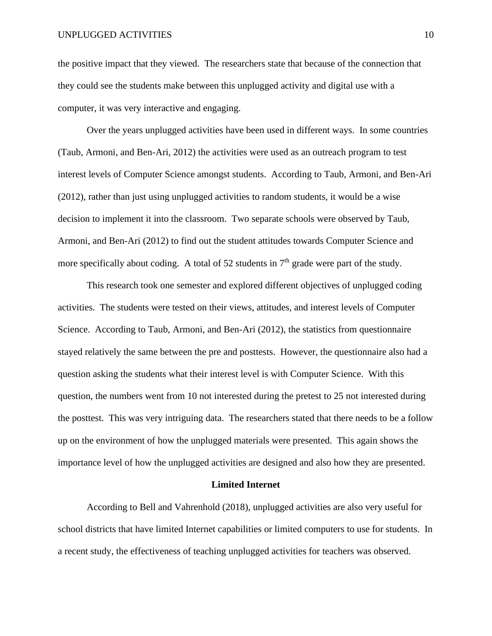the positive impact that they viewed. The researchers state that because of the connection that they could see the students make between this unplugged activity and digital use with a computer, it was very interactive and engaging.

Over the years unplugged activities have been used in different ways. In some countries (Taub, Armoni, and Ben-Ari, 2012) the activities were used as an outreach program to test interest levels of Computer Science amongst students. According to Taub, Armoni, and Ben-Ari (2012), rather than just using unplugged activities to random students, it would be a wise decision to implement it into the classroom. Two separate schools were observed by Taub, Armoni, and Ben-Ari (2012) to find out the student attitudes towards Computer Science and more specifically about coding. A total of 52 students in  $7<sup>th</sup>$  grade were part of the study.

This research took one semester and explored different objectives of unplugged coding activities. The students were tested on their views, attitudes, and interest levels of Computer Science. According to Taub, Armoni, and Ben-Ari (2012), the statistics from questionnaire stayed relatively the same between the pre and posttests. However, the questionnaire also had a question asking the students what their interest level is with Computer Science. With this question, the numbers went from 10 not interested during the pretest to 25 not interested during the posttest. This was very intriguing data. The researchers stated that there needs to be a follow up on the environment of how the unplugged materials were presented. This again shows the importance level of how the unplugged activities are designed and also how they are presented.

#### **Limited Internet**

According to Bell and Vahrenhold (2018), unplugged activities are also very useful for school districts that have limited Internet capabilities or limited computers to use for students. In a recent study, the effectiveness of teaching unplugged activities for teachers was observed.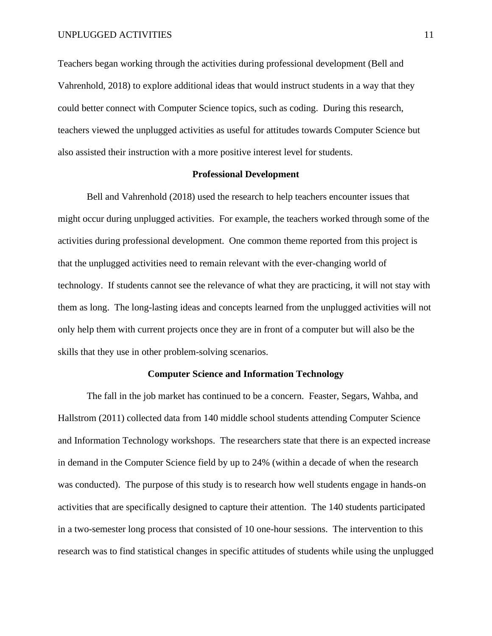Teachers began working through the activities during professional development (Bell and Vahrenhold, 2018) to explore additional ideas that would instruct students in a way that they could better connect with Computer Science topics, such as coding. During this research, teachers viewed the unplugged activities as useful for attitudes towards Computer Science but also assisted their instruction with a more positive interest level for students.

#### **Professional Development**

Bell and Vahrenhold (2018) used the research to help teachers encounter issues that might occur during unplugged activities. For example, the teachers worked through some of the activities during professional development. One common theme reported from this project is that the unplugged activities need to remain relevant with the ever-changing world of technology. If students cannot see the relevance of what they are practicing, it will not stay with them as long. The long-lasting ideas and concepts learned from the unplugged activities will not only help them with current projects once they are in front of a computer but will also be the skills that they use in other problem-solving scenarios.

### **Computer Science and Information Technology**

The fall in the job market has continued to be a concern. Feaster, Segars, Wahba, and Hallstrom (2011) collected data from 140 middle school students attending Computer Science and Information Technology workshops. The researchers state that there is an expected increase in demand in the Computer Science field by up to 24% (within a decade of when the research was conducted). The purpose of this study is to research how well students engage in hands-on activities that are specifically designed to capture their attention. The 140 students participated in a two-semester long process that consisted of 10 one-hour sessions. The intervention to this research was to find statistical changes in specific attitudes of students while using the unplugged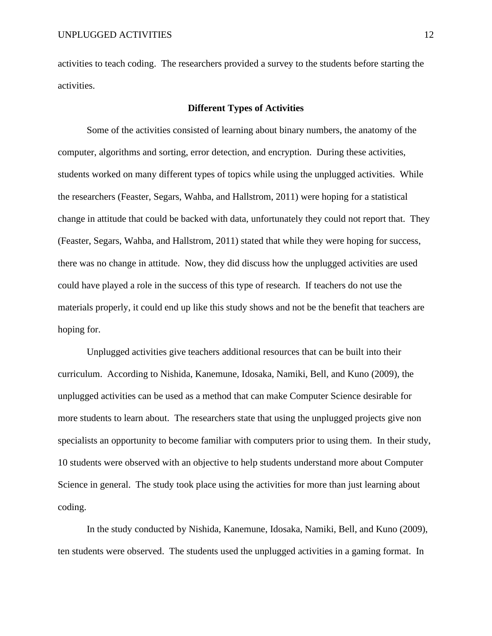activities to teach coding. The researchers provided a survey to the students before starting the activities.

## **Different Types of Activities**

Some of the activities consisted of learning about binary numbers, the anatomy of the computer, algorithms and sorting, error detection, and encryption. During these activities, students worked on many different types of topics while using the unplugged activities. While the researchers (Feaster, Segars, Wahba, and Hallstrom, 2011) were hoping for a statistical change in attitude that could be backed with data, unfortunately they could not report that. They (Feaster, Segars, Wahba, and Hallstrom, 2011) stated that while they were hoping for success, there was no change in attitude. Now, they did discuss how the unplugged activities are used could have played a role in the success of this type of research. If teachers do not use the materials properly, it could end up like this study shows and not be the benefit that teachers are hoping for.

Unplugged activities give teachers additional resources that can be built into their curriculum. According to Nishida, Kanemune, Idosaka, Namiki, Bell, and Kuno (2009), the unplugged activities can be used as a method that can make Computer Science desirable for more students to learn about. The researchers state that using the unplugged projects give non specialists an opportunity to become familiar with computers prior to using them. In their study, 10 students were observed with an objective to help students understand more about Computer Science in general. The study took place using the activities for more than just learning about coding.

In the study conducted by Nishida, Kanemune, Idosaka, Namiki, Bell, and Kuno (2009), ten students were observed. The students used the unplugged activities in a gaming format. In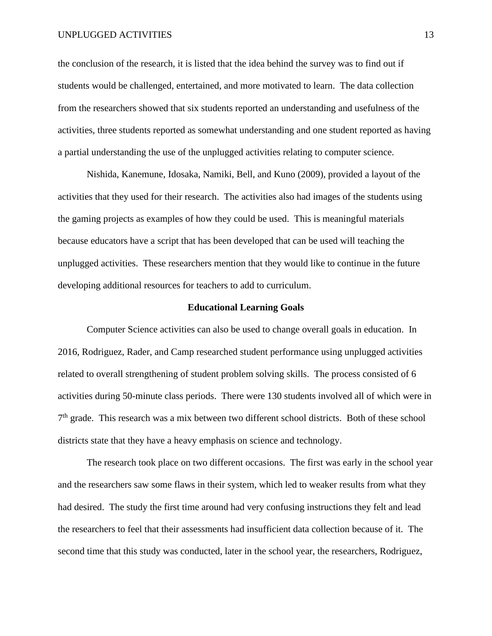#### UNPLUGGED ACTIVITIES 13

the conclusion of the research, it is listed that the idea behind the survey was to find out if students would be challenged, entertained, and more motivated to learn. The data collection from the researchers showed that six students reported an understanding and usefulness of the activities, three students reported as somewhat understanding and one student reported as having a partial understanding the use of the unplugged activities relating to computer science.

Nishida, Kanemune, Idosaka, Namiki, Bell, and Kuno (2009), provided a layout of the activities that they used for their research. The activities also had images of the students using the gaming projects as examples of how they could be used. This is meaningful materials because educators have a script that has been developed that can be used will teaching the unplugged activities. These researchers mention that they would like to continue in the future developing additional resources for teachers to add to curriculum.

#### **Educational Learning Goals**

Computer Science activities can also be used to change overall goals in education. In 2016, Rodriguez, Rader, and Camp researched student performance using unplugged activities related to overall strengthening of student problem solving skills. The process consisted of 6 activities during 50-minute class periods. There were 130 students involved all of which were in 7<sup>th</sup> grade. This research was a mix between two different school districts. Both of these school districts state that they have a heavy emphasis on science and technology.

The research took place on two different occasions. The first was early in the school year and the researchers saw some flaws in their system, which led to weaker results from what they had desired. The study the first time around had very confusing instructions they felt and lead the researchers to feel that their assessments had insufficient data collection because of it. The second time that this study was conducted, later in the school year, the researchers, Rodriguez,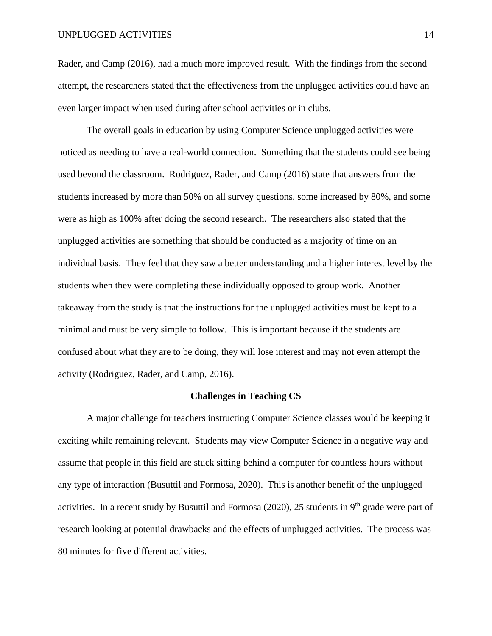Rader, and Camp (2016), had a much more improved result. With the findings from the second attempt, the researchers stated that the effectiveness from the unplugged activities could have an even larger impact when used during after school activities or in clubs.

The overall goals in education by using Computer Science unplugged activities were noticed as needing to have a real-world connection. Something that the students could see being used beyond the classroom. Rodriguez, Rader, and Camp (2016) state that answers from the students increased by more than 50% on all survey questions, some increased by 80%, and some were as high as 100% after doing the second research. The researchers also stated that the unplugged activities are something that should be conducted as a majority of time on an individual basis. They feel that they saw a better understanding and a higher interest level by the students when they were completing these individually opposed to group work. Another takeaway from the study is that the instructions for the unplugged activities must be kept to a minimal and must be very simple to follow. This is important because if the students are confused about what they are to be doing, they will lose interest and may not even attempt the activity (Rodriguez, Rader, and Camp, 2016).

#### **Challenges in Teaching CS**

A major challenge for teachers instructing Computer Science classes would be keeping it exciting while remaining relevant. Students may view Computer Science in a negative way and assume that people in this field are stuck sitting behind a computer for countless hours without any type of interaction (Busuttil and Formosa, 2020). This is another benefit of the unplugged activities. In a recent study by Busuttil and Formosa (2020), 25 students in  $9<sup>th</sup>$  grade were part of research looking at potential drawbacks and the effects of unplugged activities. The process was 80 minutes for five different activities.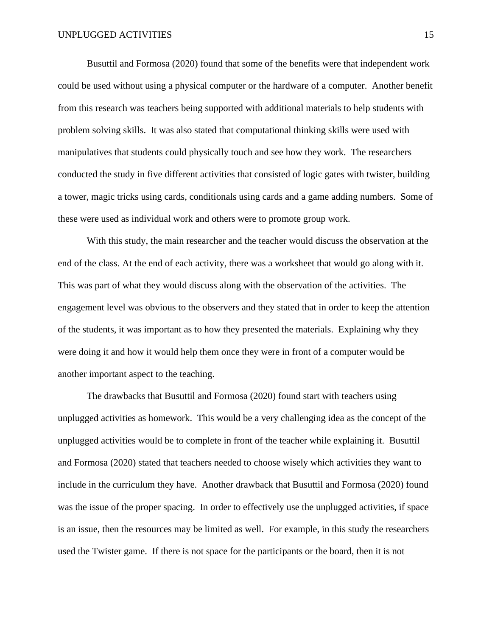Busuttil and Formosa (2020) found that some of the benefits were that independent work could be used without using a physical computer or the hardware of a computer. Another benefit from this research was teachers being supported with additional materials to help students with problem solving skills. It was also stated that computational thinking skills were used with manipulatives that students could physically touch and see how they work. The researchers conducted the study in five different activities that consisted of logic gates with twister, building a tower, magic tricks using cards, conditionals using cards and a game adding numbers. Some of these were used as individual work and others were to promote group work.

With this study, the main researcher and the teacher would discuss the observation at the end of the class. At the end of each activity, there was a worksheet that would go along with it. This was part of what they would discuss along with the observation of the activities. The engagement level was obvious to the observers and they stated that in order to keep the attention of the students, it was important as to how they presented the materials. Explaining why they were doing it and how it would help them once they were in front of a computer would be another important aspect to the teaching.

The drawbacks that Busuttil and Formosa (2020) found start with teachers using unplugged activities as homework. This would be a very challenging idea as the concept of the unplugged activities would be to complete in front of the teacher while explaining it. Busuttil and Formosa (2020) stated that teachers needed to choose wisely which activities they want to include in the curriculum they have. Another drawback that Busuttil and Formosa (2020) found was the issue of the proper spacing. In order to effectively use the unplugged activities, if space is an issue, then the resources may be limited as well. For example, in this study the researchers used the Twister game. If there is not space for the participants or the board, then it is not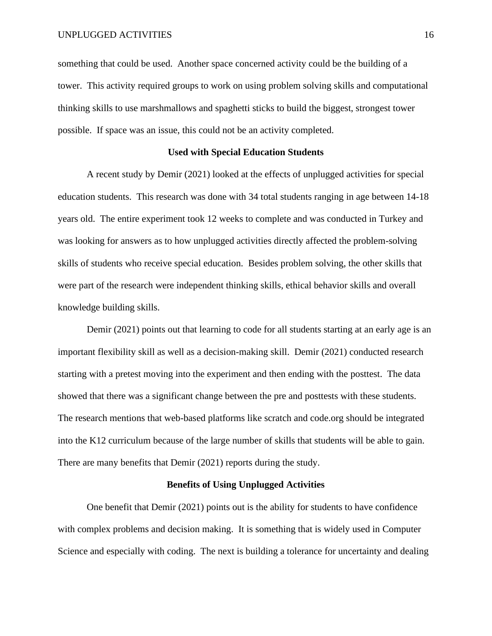something that could be used. Another space concerned activity could be the building of a tower. This activity required groups to work on using problem solving skills and computational thinking skills to use marshmallows and spaghetti sticks to build the biggest, strongest tower possible. If space was an issue, this could not be an activity completed.

#### **Used with Special Education Students**

A recent study by Demir (2021) looked at the effects of unplugged activities for special education students. This research was done with 34 total students ranging in age between 14-18 years old. The entire experiment took 12 weeks to complete and was conducted in Turkey and was looking for answers as to how unplugged activities directly affected the problem-solving skills of students who receive special education. Besides problem solving, the other skills that were part of the research were independent thinking skills, ethical behavior skills and overall knowledge building skills.

Demir (2021) points out that learning to code for all students starting at an early age is an important flexibility skill as well as a decision-making skill. Demir (2021) conducted research starting with a pretest moving into the experiment and then ending with the posttest. The data showed that there was a significant change between the pre and posttests with these students. The research mentions that web-based platforms like scratch and code.org should be integrated into the K12 curriculum because of the large number of skills that students will be able to gain. There are many benefits that Demir (2021) reports during the study.

#### **Benefits of Using Unplugged Activities**

One benefit that Demir (2021) points out is the ability for students to have confidence with complex problems and decision making. It is something that is widely used in Computer Science and especially with coding. The next is building a tolerance for uncertainty and dealing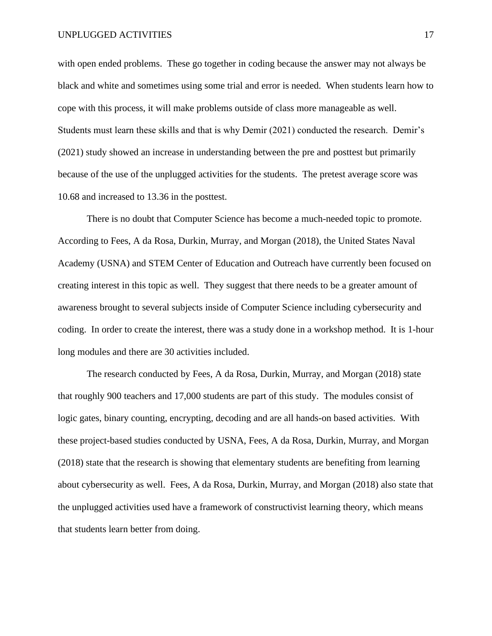with open ended problems. These go together in coding because the answer may not always be black and white and sometimes using some trial and error is needed. When students learn how to cope with this process, it will make problems outside of class more manageable as well. Students must learn these skills and that is why Demir (2021) conducted the research. Demir's (2021) study showed an increase in understanding between the pre and posttest but primarily because of the use of the unplugged activities for the students. The pretest average score was 10.68 and increased to 13.36 in the posttest.

There is no doubt that Computer Science has become a much-needed topic to promote. According to Fees, A da Rosa, Durkin, Murray, and Morgan (2018), the United States Naval Academy (USNA) and STEM Center of Education and Outreach have currently been focused on creating interest in this topic as well. They suggest that there needs to be a greater amount of awareness brought to several subjects inside of Computer Science including cybersecurity and coding. In order to create the interest, there was a study done in a workshop method. It is 1-hour long modules and there are 30 activities included.

The research conducted by Fees, A da Rosa, Durkin, Murray, and Morgan (2018) state that roughly 900 teachers and 17,000 students are part of this study. The modules consist of logic gates, binary counting, encrypting, decoding and are all hands-on based activities. With these project-based studies conducted by USNA, Fees, A da Rosa, Durkin, Murray, and Morgan (2018) state that the research is showing that elementary students are benefiting from learning about cybersecurity as well. Fees, A da Rosa, Durkin, Murray, and Morgan (2018) also state that the unplugged activities used have a framework of constructivist learning theory, which means that students learn better from doing.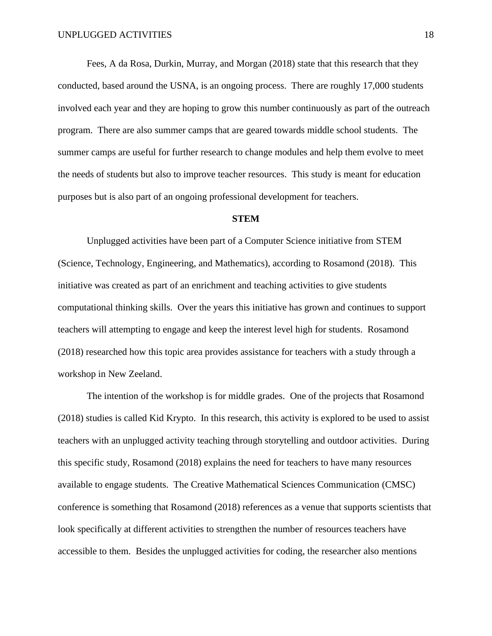Fees, A da Rosa, Durkin, Murray, and Morgan (2018) state that this research that they conducted, based around the USNA, is an ongoing process. There are roughly 17,000 students involved each year and they are hoping to grow this number continuously as part of the outreach program. There are also summer camps that are geared towards middle school students. The summer camps are useful for further research to change modules and help them evolve to meet the needs of students but also to improve teacher resources. This study is meant for education purposes but is also part of an ongoing professional development for teachers.

#### **STEM**

Unplugged activities have been part of a Computer Science initiative from STEM (Science, Technology, Engineering, and Mathematics), according to Rosamond (2018). This initiative was created as part of an enrichment and teaching activities to give students computational thinking skills. Over the years this initiative has grown and continues to support teachers will attempting to engage and keep the interest level high for students. Rosamond (2018) researched how this topic area provides assistance for teachers with a study through a workshop in New Zeeland.

The intention of the workshop is for middle grades. One of the projects that Rosamond (2018) studies is called Kid Krypto. In this research, this activity is explored to be used to assist teachers with an unplugged activity teaching through storytelling and outdoor activities. During this specific study, Rosamond (2018) explains the need for teachers to have many resources available to engage students. The Creative Mathematical Sciences Communication (CMSC) conference is something that Rosamond (2018) references as a venue that supports scientists that look specifically at different activities to strengthen the number of resources teachers have accessible to them. Besides the unplugged activities for coding, the researcher also mentions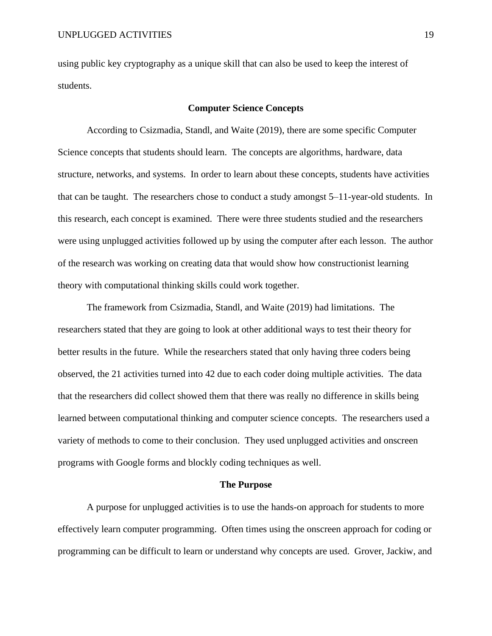using public key cryptography as a unique skill that can also be used to keep the interest of students.

#### **Computer Science Concepts**

According to Csizmadia, Standl, and Waite (2019), there are some specific Computer Science concepts that students should learn. The concepts are algorithms, hardware, data structure, networks, and systems. In order to learn about these concepts, students have activities that can be taught. The researchers chose to conduct a study amongst 5–11-year-old students. In this research, each concept is examined. There were three students studied and the researchers were using unplugged activities followed up by using the computer after each lesson. The author of the research was working on creating data that would show how constructionist learning theory with computational thinking skills could work together.

The framework from Csizmadia, Standl, and Waite (2019) had limitations. The researchers stated that they are going to look at other additional ways to test their theory for better results in the future. While the researchers stated that only having three coders being observed, the 21 activities turned into 42 due to each coder doing multiple activities. The data that the researchers did collect showed them that there was really no difference in skills being learned between computational thinking and computer science concepts. The researchers used a variety of methods to come to their conclusion. They used unplugged activities and onscreen programs with Google forms and blockly coding techniques as well.

#### **The Purpose**

A purpose for unplugged activities is to use the hands-on approach for students to more effectively learn computer programming. Often times using the onscreen approach for coding or programming can be difficult to learn or understand why concepts are used. Grover, Jackiw, and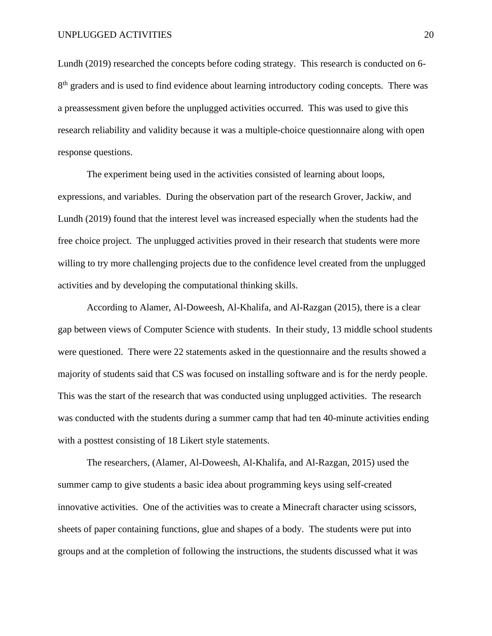Lundh (2019) researched the concepts before coding strategy. This research is conducted on 6- 8<sup>th</sup> graders and is used to find evidence about learning introductory coding concepts. There was a preassessment given before the unplugged activities occurred. This was used to give this research reliability and validity because it was a multiple-choice questionnaire along with open response questions.

The experiment being used in the activities consisted of learning about loops, expressions, and variables. During the observation part of the research Grover, Jackiw, and Lundh (2019) found that the interest level was increased especially when the students had the free choice project. The unplugged activities proved in their research that students were more willing to try more challenging projects due to the confidence level created from the unplugged activities and by developing the computational thinking skills.

According to Alamer, Al-Doweesh, Al-Khalifa, and Al-Razgan (2015), there is a clear gap between views of Computer Science with students. In their study, 13 middle school students were questioned. There were 22 statements asked in the questionnaire and the results showed a majority of students said that CS was focused on installing software and is for the nerdy people. This was the start of the research that was conducted using unplugged activities. The research was conducted with the students during a summer camp that had ten 40-minute activities ending with a posttest consisting of 18 Likert style statements.

The researchers, (Alamer, Al-Doweesh, Al-Khalifa, and Al-Razgan, 2015) used the summer camp to give students a basic idea about programming keys using self-created innovative activities. One of the activities was to create a Minecraft character using scissors, sheets of paper containing functions, glue and shapes of a body. The students were put into groups and at the completion of following the instructions, the students discussed what it was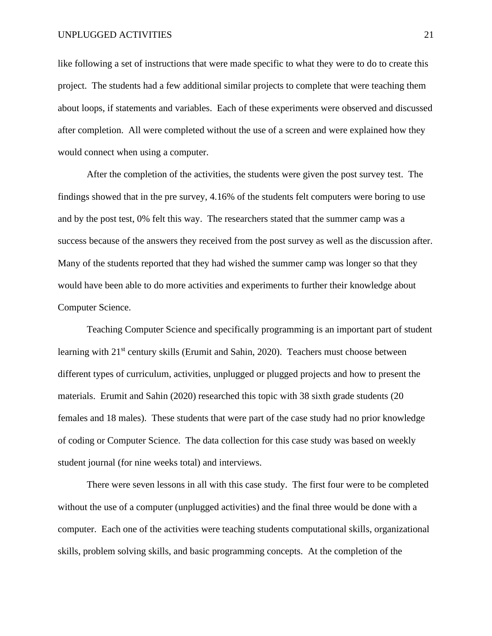#### UNPLUGGED ACTIVITIES 21

like following a set of instructions that were made specific to what they were to do to create this project. The students had a few additional similar projects to complete that were teaching them about loops, if statements and variables. Each of these experiments were observed and discussed after completion. All were completed without the use of a screen and were explained how they would connect when using a computer.

After the completion of the activities, the students were given the post survey test. The findings showed that in the pre survey, 4.16% of the students felt computers were boring to use and by the post test, 0% felt this way. The researchers stated that the summer camp was a success because of the answers they received from the post survey as well as the discussion after. Many of the students reported that they had wished the summer camp was longer so that they would have been able to do more activities and experiments to further their knowledge about Computer Science.

Teaching Computer Science and specifically programming is an important part of student learning with 21<sup>st</sup> century skills (Erumit and Sahin, 2020). Teachers must choose between different types of curriculum, activities, unplugged or plugged projects and how to present the materials. Erumit and Sahin (2020) researched this topic with 38 sixth grade students (20 females and 18 males). These students that were part of the case study had no prior knowledge of coding or Computer Science. The data collection for this case study was based on weekly student journal (for nine weeks total) and interviews.

There were seven lessons in all with this case study. The first four were to be completed without the use of a computer (unplugged activities) and the final three would be done with a computer. Each one of the activities were teaching students computational skills, organizational skills, problem solving skills, and basic programming concepts. At the completion of the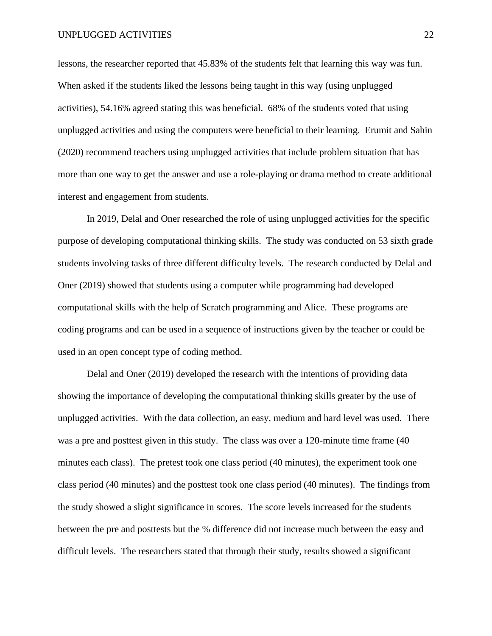lessons, the researcher reported that 45.83% of the students felt that learning this way was fun. When asked if the students liked the lessons being taught in this way (using unplugged activities), 54.16% agreed stating this was beneficial. 68% of the students voted that using unplugged activities and using the computers were beneficial to their learning. Erumit and Sahin (2020) recommend teachers using unplugged activities that include problem situation that has more than one way to get the answer and use a role-playing or drama method to create additional interest and engagement from students.

In 2019, Delal and Oner researched the role of using unplugged activities for the specific purpose of developing computational thinking skills. The study was conducted on 53 sixth grade students involving tasks of three different difficulty levels. The research conducted by Delal and Oner (2019) showed that students using a computer while programming had developed computational skills with the help of Scratch programming and Alice. These programs are coding programs and can be used in a sequence of instructions given by the teacher or could be used in an open concept type of coding method.

Delal and Oner (2019) developed the research with the intentions of providing data showing the importance of developing the computational thinking skills greater by the use of unplugged activities. With the data collection, an easy, medium and hard level was used. There was a pre and posttest given in this study. The class was over a 120-minute time frame (40 minutes each class). The pretest took one class period (40 minutes), the experiment took one class period (40 minutes) and the posttest took one class period (40 minutes). The findings from the study showed a slight significance in scores. The score levels increased for the students between the pre and posttests but the % difference did not increase much between the easy and difficult levels. The researchers stated that through their study, results showed a significant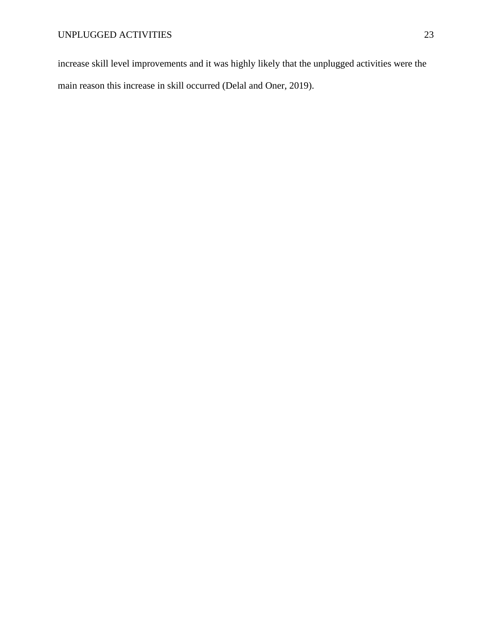increase skill level improvements and it was highly likely that the unplugged activities were the main reason this increase in skill occurred (Delal and Oner, 2019).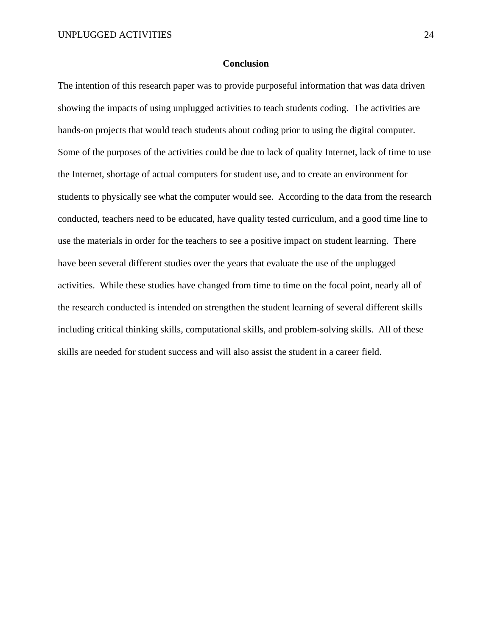#### **Conclusion**

The intention of this research paper was to provide purposeful information that was data driven showing the impacts of using unplugged activities to teach students coding. The activities are hands-on projects that would teach students about coding prior to using the digital computer. Some of the purposes of the activities could be due to lack of quality Internet, lack of time to use the Internet, shortage of actual computers for student use, and to create an environment for students to physically see what the computer would see. According to the data from the research conducted, teachers need to be educated, have quality tested curriculum, and a good time line to use the materials in order for the teachers to see a positive impact on student learning. There have been several different studies over the years that evaluate the use of the unplugged activities. While these studies have changed from time to time on the focal point, nearly all of the research conducted is intended on strengthen the student learning of several different skills including critical thinking skills, computational skills, and problem-solving skills. All of these skills are needed for student success and will also assist the student in a career field.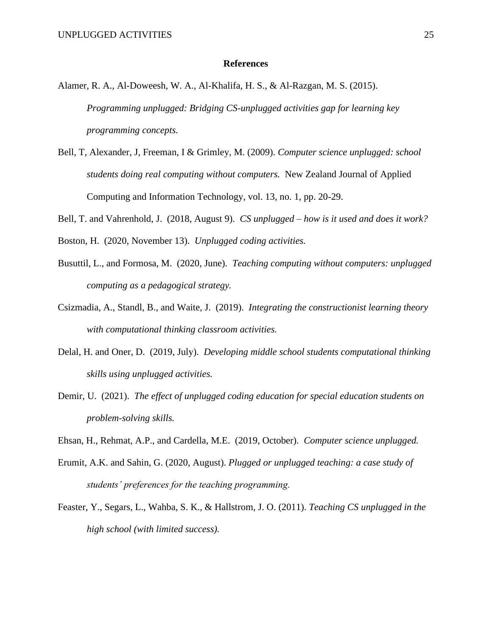#### **References**

- Alamer, R. A., Al-Doweesh, W. A., Al-Khalifa, H. S., & Al-Razgan, M. S. (2015). *Programming unplugged: Bridging CS-unplugged activities gap for learning key programming concepts.*
- Bell, T, Alexander, J, Freeman, I & Grimley, M. (2009). *Computer science unplugged: school students doing real computing without computers.* New Zealand Journal of Applied Computing and Information Technology, vol. 13, no. 1, pp. 20-29.
- Bell, T. and Vahrenhold, J. (2018, August 9). *CS unplugged – how is it used and does it work?*
- Boston, H. (2020, November 13). *Unplugged coding activities.*
- Busuttil, L., and Formosa, M. (2020, June). *Teaching computing without computers: unplugged computing as a pedagogical strategy.*
- Csizmadia, A., Standl, B., and Waite, J. (2019). *Integrating the constructionist learning theory with computational thinking classroom activities.*
- Delal, H. and Oner, D. (2019, July). *Developing middle school students computational thinking skills using unplugged activities.*
- Demir, U. (2021). *The effect of unplugged coding education for special education students on problem-solving skills.*
- Ehsan, H., Rehmat, A.P., and Cardella, M.E. (2019, October). *Computer science unplugged.*
- Erumit, A.K. and Sahin, G. (2020, August). *Plugged or unplugged teaching: a case study of students' preferences for the teaching programming.*
- Feaster, Y., Segars, L., Wahba, S. K., & Hallstrom, J. O. (2011). *Teaching CS unplugged in the high school (with limited success).*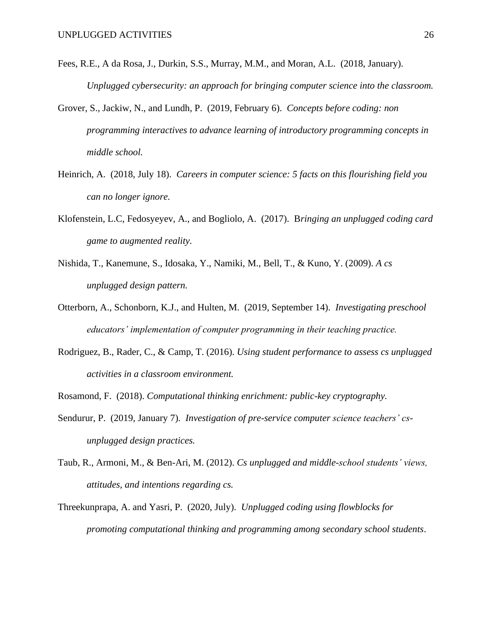- Fees, R.E., A da Rosa, J., Durkin, S.S., Murray, M.M., and Moran, A.L. (2018, January). *Unplugged cybersecurity: an approach for bringing computer science into the classroom.*
- Grover, S., Jackiw, N., and Lundh, P. (2019, February 6). *Concepts before coding: non programming interactives to advance learning of introductory programming concepts in middle school.*
- Heinrich, A. (2018, July 18). *Careers in computer science: 5 facts on this flourishing field you can no longer ignore.*
- Klofenstein, L.C, Fedosyeyev, A., and Bogliolo, A. (2017). B*ringing an unplugged coding card game to augmented reality.*
- Nishida, T., Kanemune, S., Idosaka, Y., Namiki, M., Bell, T., & Kuno, Y. (2009). *A cs unplugged design pattern.*
- Otterborn, A., Schonborn, K.J., and Hulten, M. (2019, September 14). *Investigating preschool educators' implementation of computer programming in their teaching practice.*
- Rodriguez, B., Rader, C., & Camp, T. (2016). *Using student performance to assess cs unplugged activities in a classroom environment.*
- Rosamond, F. (2018). *Computational thinking enrichment: public-key cryptography.*
- Sendurur, P. (2019, January 7). *Investigation of pre-service computer science teachers' csunplugged design practices.*
- Taub, R., Armoni, M., & Ben-Ari, M. (2012). *Cs unplugged and middle-school students' views, attitudes, and intentions regarding cs.*
- Threekunprapa, A. and Yasri, P. (2020, July). *Unplugged coding using flowblocks for promoting computational thinking and programming among secondary school students*.